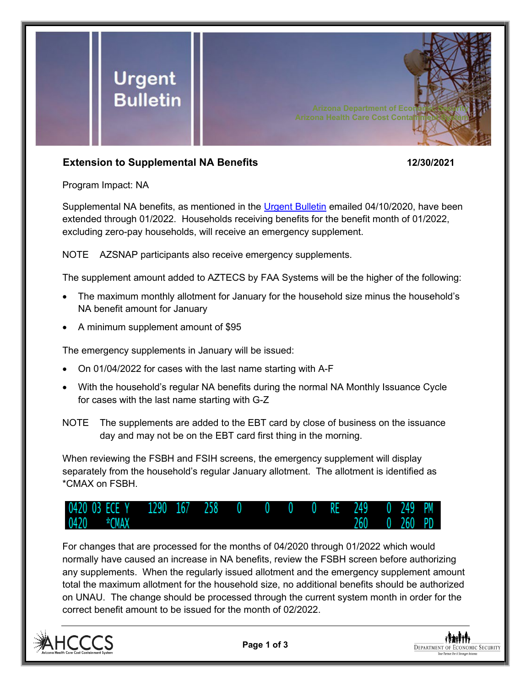

## **Extension to Supplemental NA Benefits 12/30/2021**

Program Impact: NA

Supplemental NA benefits, as mentioned in the [Urgent Bulletin](https://dbmefaapolicy.azdes.gov/FAA5/baggage/Urgent%20Bulletin%20(04-10-2020)%20-%20Supplemental%20Nutrition%20Assistance%20Benefits%20for%20Participants.pdf) emailed 04/10/2020, have been extended through 01/2022. Households receiving benefits for the benefit month of 01/2022, excluding zero-pay households, will receive an emergency supplement.

NOTE AZSNAP participants also receive emergency supplements.

The supplement amount added to AZTECS by FAA Systems will be the higher of the following:

- The maximum monthly allotment for January for the household size minus the household's NA benefit amount for January
- A minimum supplement amount of \$95

The emergency supplements in January will be issued:

- On 01/04/2022 for cases with the last name starting with A-F
- With the household's regular NA benefits during the normal NA Monthly Issuance Cycle for cases with the last name starting with G-Z
- NOTE The supplements are added to the EBT card by close of business on the issuance day and may not be on the EBT card first thing in the morning.

When reviewing the FSBH and FSIH screens, the emergency supplement will display separately from the household's regular January allotment. The allotment is identified as \*CMAX on FSBH.



For changes that are processed for the months of 04/2020 through 01/2022 which would normally have caused an increase in NA benefits, review the FSBH screen before authorizing any supplements. When the regularly issued allotment and the emergency supplement amount total the maximum allotment for the household size, no additional benefits should be authorized on UNAU. The change should be processed through the current system month in order for the correct benefit amount to be issued for the month of 02/2022.



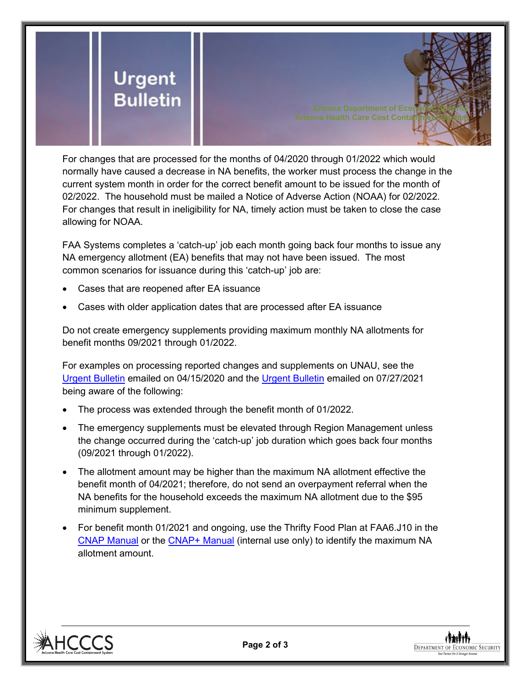

For changes that are processed for the months of 04/2020 through 01/2022 which would normally have caused a decrease in NA benefits, the worker must process the change in the current system month in order for the correct benefit amount to be issued for the month of 02/2022. The household must be mailed a Notice of Adverse Action (NOAA) for 02/2022. For changes that result in ineligibility for NA, timely action must be taken to close the case allowing for NOAA.

FAA Systems completes a 'catch-up' job each month going back four months to issue any NA emergency allotment (EA) benefits that may not have been issued. The most common scenarios for issuance during this 'catch-up' job are:

- Cases that are reopened after EA issuance
- Cases with older application dates that are processed after EA issuance

Do not create emergency supplements providing maximum monthly NA allotments for benefit months 09/2021 through 01/2022.

For examples on processing reported changes and supplements on UNAU, see the [Urgent Bulletin](https://dbmefaapolicy.azdes.gov/Archived_policy/baggage/Urgent%20Bulletin%20(04-15-2020)%20-%20Reported%20Changes%20and%20Supplements%20on%20UNAU.pdf) emailed on 04/15/2020 and the [Urgent Bulletin](https://dbmefaapolicy.azdes.gov/Archived_Policy/baggage/Urgent%20Bulletin%20(07-27-2021)%20-%20EA%20$95%20Minimum%20Clarification.pdf) emailed on 07/27/2021 being aware of the following:

- The process was extended through the benefit month of 01/2022.
- The emergency supplements must be elevated through Region Management unless the change occurred during the 'catch-up' job duration which goes back four months (09/2021 through 01/2022).
- The allotment amount may be higher than the maximum NA allotment effective the benefit month of 04/2021; therefore, do not send an overpayment referral when the NA benefits for the household exceeds the maximum NA allotment due to the \$95 minimum supplement.
- For benefit month 01/2021 and ongoing, use the Thrifty Food Plan at FAA6.J10 in the [CNAP Manual](https://dbmefaapolicy.azdes.gov/#page/FAA6/Thrifty_Food_Plan_(NA).html) or the [CNAP+ Manual](https://cnap4staff.azdes.gov/#page/FAA6/Thrifty_Food_Plan_(NA).html) (internal use only) to identify the maximum NA allotment amount.